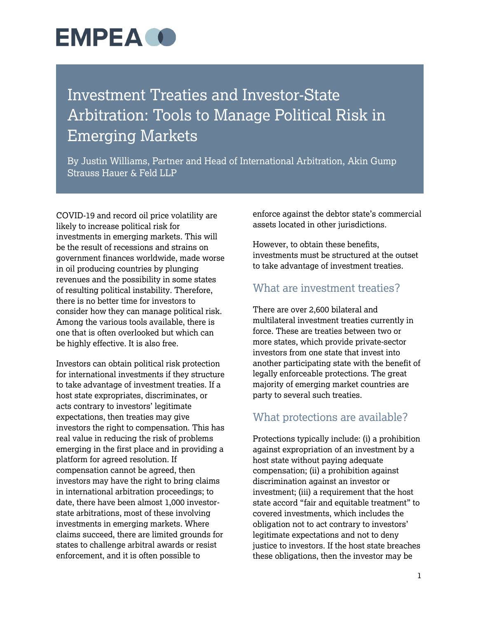### **EMPEA O**

### Investment Treaties and Investor-State Arbitration: Tools to Manage Political Risk in Emerging Markets

By Justin Williams, Partner and Head of International Arbitration, Akin Gump Strauss Hauer & Feld LLP

COVID-19 and record oil price volatility are likely to increase political risk for investments in emerging markets. This will be the result of recessions and strains on government finances worldwide, made worse in oil producing countries by plunging revenues and the possibility in some states of resulting political instability. Therefore, there is no better time for investors to consider how they can manage political risk. Among the various tools available, there is one that is often overlooked but which can be highly effective. It is also free.

Investors can obtain political risk protection for international investments if they structure to take advantage of investment treaties. If a host state expropriates, discriminates, or acts contrary to investors' legitimate expectations, then treaties may give investors the right to compensation. This has real value in reducing the risk of problems emerging in the first place and in providing a platform for agreed resolution. If compensation cannot be agreed, then investors may have the right to bring claims in international arbitration proceedings; to date, there have been almost 1,000 investorstate arbitrations, most of these involving investments in emerging markets. Where claims succeed, there are limited grounds for states to challenge arbitral awards or resist enforcement, and it is often possible to

enforce against the debtor state's commercial assets located in other jurisdictions.

However, to obtain these benefits, investments must be structured at the outset to take advantage of investment treaties.

#### What are investment treaties?

There are over 2,600 bilateral and multilateral investment treaties currently in force. These are treaties between two or more states, which provide private-sector investors from one state that invest into another participating state with the benefit of legally enforceable protections. The great majority of emerging market countries are party to several such treaties.

#### What protections are available?

Protections typically include: (i) a prohibition against expropriation of an investment by a host state without paying adequate compensation; (ii) a prohibition against discrimination against an investor or investment; (iii) a requirement that the host state accord "fair and equitable treatment" to covered investments, which includes the obligation not to act contrary to investors' legitimate expectations and not to deny justice to investors. If the host state breaches these obligations, then the investor may be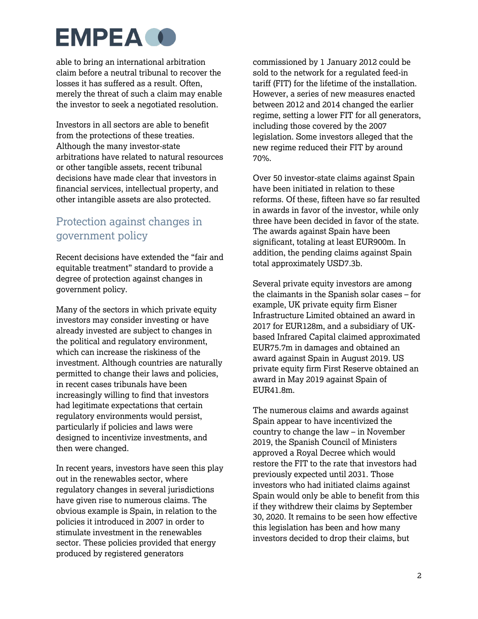## **EMPEA O**

able to bring an international arbitration claim before a neutral tribunal to recover the losses it has suffered as a result. Often, merely the threat of such a claim may enable the investor to seek a negotiated resolution.

Investors in all sectors are able to benefit from the protections of these treaties. Although the many investor-state arbitrations have related to natural resources or other tangible assets, recent tribunal decisions have made clear that investors in financial services, intellectual property, and other intangible assets are also protected.

#### Protection against changes in government policy

Recent decisions have extended the "fair and equitable treatment" standard to provide a degree of protection against changes in government policy.

Many of the sectors in which private equity investors may consider investing or have already invested are subject to changes in the political and regulatory environment, which can increase the riskiness of the investment. Although countries are naturally permitted to change their laws and policies, in recent cases tribunals have been increasingly willing to find that investors had legitimate expectations that certain regulatory environments would persist, particularly if policies and laws were designed to incentivize investments, and then were changed.

In recent years, investors have seen this play out in the renewables sector, where regulatory changes in several jurisdictions have given rise to numerous claims. The obvious example is Spain, in relation to the policies it introduced in 2007 in order to stimulate investment in the renewables sector. These policies provided that energy produced by registered generators

commissioned by 1 January 2012 could be sold to the network for a regulated feed-in tariff (FIT) for the lifetime of the installation. However, a series of new measures enacted between 2012 and 2014 changed the earlier regime, setting a lower FIT for all generators, including those covered by the 2007 legislation. Some investors alleged that the new regime reduced their FIT by around 70%.

Over 50 investor-state claims against Spain have been initiated in relation to these reforms. Of these, fifteen have so far resulted in awards in favor of the investor, while only three have been decided in favor of the state. The awards against Spain have been significant, totaling at least EUR900m. In addition, the pending claims against Spain total approximately USD7.3b.

Several private equity investors are among the claimants in the Spanish solar cases – for example, UK private equity firm Eisner Infrastructure Limited obtained an award in 2017 for EUR128m, and a subsidiary of UKbased Infrared Capital claimed approximated EUR75.7m in damages and obtained an award against Spain in August 2019. US private equity firm First Reserve obtained an award in May 2019 against Spain of EUR41.8m.

The numerous claims and awards against Spain appear to have incentivized the country to change the law – in November 2019, the Spanish Council of Ministers approved a Royal Decree which would restore the FIT to the rate that investors had previously expected until 2031. Those investors who had initiated claims against Spain would only be able to benefit from this if they withdrew their claims by September 30, 2020. It remains to be seen how effective this legislation has been and how many investors decided to drop their claims, but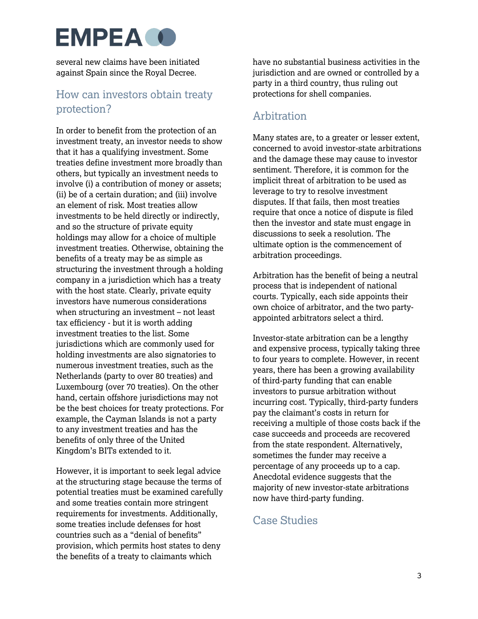## **EMPEA O**

several new claims have been initiated against Spain since the Royal Decree.

#### How can investors obtain treaty protection?

In order to benefit from the protection of an investment treaty, an investor needs to show that it has a qualifying investment. Some treaties define investment more broadly than others, but typically an investment needs to involve (i) a contribution of money or assets; (ii) be of a certain duration; and (iii) involve an element of risk. Most treaties allow investments to be held directly or indirectly, and so the structure of private equity holdings may allow for a choice of multiple investment treaties. Otherwise, obtaining the benefits of a treaty may be as simple as structuring the investment through a holding company in a jurisdiction which has a treaty with the host state. Clearly, private equity investors have numerous considerations when structuring an investment – not least tax efficiency - but it is worth adding investment treaties to the list. Some jurisdictions which are commonly used for holding investments are also signatories to numerous investment treaties, such as the Netherlands (party to over 80 treaties) and Luxembourg (over 70 treaties). On the other hand, certain offshore jurisdictions may not be the best choices for treaty protections. For example, the Cayman Islands is not a party to any investment treaties and has the benefits of only three of the United Kingdom's BITs extended to it.

However, it is important to seek legal advice at the structuring stage because the terms of potential treaties must be examined carefully and some treaties contain more stringent requirements for investments. Additionally, some treaties include defenses for host countries such as a "denial of benefits" provision, which permits host states to deny the benefits of a treaty to claimants which

have no substantial business activities in the jurisdiction and are owned or controlled by a party in a third country, thus ruling out protections for shell companies.

#### Arbitration

Many states are, to a greater or lesser extent, concerned to avoid investor-state arbitrations and the damage these may cause to investor sentiment. Therefore, it is common for the implicit threat of arbitration to be used as leverage to try to resolve investment disputes. If that fails, then most treaties require that once a notice of dispute is filed then the investor and state must engage in discussions to seek a resolution. The ultimate option is the commencement of arbitration proceedings.

Arbitration has the benefit of being a neutral process that is independent of national courts. Typically, each side appoints their own choice of arbitrator, and the two partyappointed arbitrators select a third.

Investor-state arbitration can be a lengthy and expensive process, typically taking three to four years to complete. However, in recent years, there has been a growing availability of third-party funding that can enable investors to pursue arbitration without incurring cost. Typically, third-party funders pay the claimant's costs in return for receiving a multiple of those costs back if the case succeeds and proceeds are recovered from the state respondent. Alternatively, sometimes the funder may receive a percentage of any proceeds up to a cap. Anecdotal evidence suggests that the majority of new investor-state arbitrations now have third-party funding.

#### Case Studies